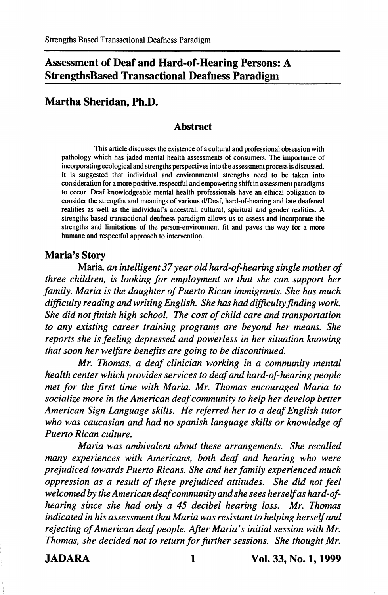# Assessment of Deaf and Hard-of-Hearing Persons: A StrengthsBased Transactional Deafness Paradigm

## Martha Sheridan, Ph.D.

#### Abstract

This article discusses the existence of a cultural and professional obsession with pathology which has jaded mental health assessments of consumers. The importance of incorporating ecological and strengths perspectives into the assessment process is discussed. It is suggested that individual and environmental strengths need to be taken into consideration for a more positive, respectful and empowering shift in assessment paradigms to occur. Deaf knowledgeable mental health professionals have an ethical obligation to consider the strengths and meanings of various d/Deaf, hard-of-hearing and late deafened realities as well as the individual's ancestral, cultural, spiritual and gender realities. A strengths based transactional deafness paradigm allows us to assess and incorporate the strengths and limitations of the person-environment fit and paves the way for a more humane and respectful approach to intervention.

#### Maria's Story

Maria, an intelligent 37 year old hard-of-hearing single mother of three children, is looking for employment so that she can support her family, Maria is the daughter of Puerto Rican immigrants. She has much difficulty reading and writing English. She has had difficulty finding work. She did not finish high school. The cost of child care and transportation to any existing career training programs are beyond her means. She reports she is feeling depressed and powerless in her situation knowing that soon her welfare benefits are going to be discontinued,

Mr, Thomas, a deaf clinician working in a community mental health center which provides services to deaf and hard-of-hearing people met for the first time with Maria, Mr, Thomas encouraged Maria to socialize more in the American deaf community to help her develop better American Sign Language skills. He referred her to a deaf English tutor who was caucasian and had no spanish language skills or knowledge of Puerto Rican culture,

Maria was ambivalent about these arrangements. She recalled many experiences with Americans, both deaf and hearing who were prejudiced towards Puerto Ricans, She and her family experienced much oppression as a result of these prejudiced attitudes. She did not feel welcomed by the American deaf community and she sees herself as hard-ofhearing since she had only a 45 decibel hearing loss, Mr, Thomas indicated in his assessment that Maria was resistant to helping herself and rejecting of American deaf people. After Maria's initial session with Mr. Thomas, she decided not to return for further sessions. She thought Mr,

JADARA 1 Vol. 33, No. 1,1999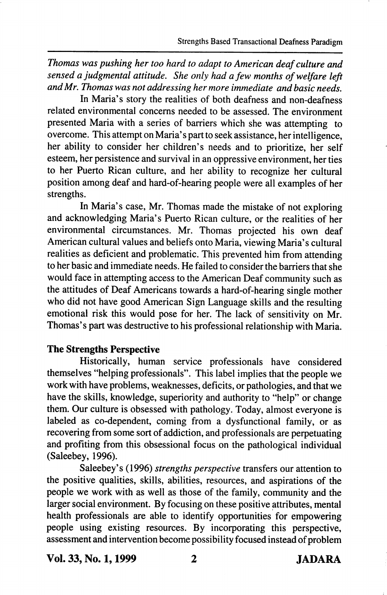Thomas was pushing her too hard to adapt to American deaf culture and sensed a judgmental attitude. She only had a few months of welfare left and Mr. Thomas was not addressing her more immediate and basic needs.

In Maria's story the realities of both deafness and non-deafness related environmental concerns needed to be assessed. The environment presented Maria with a series of barriers which she was attempting to overcome. This attempt on Maria's part to seek assistance, her intelligence, her ability to consider her children's needs and to prioritize, her self esteem, her persistence and survival in an oppressive environment, her ties to her Puerto Rican culture, and her ability to recognize her cultural position among deaf and hard-of-hearing people were all examples of her strengths.

In Maria's case, Mr. Thomas made the mistake of not exploring and acknowledging Maria's Puerto Rican culture, or the realities of her environmental circumstances. Mr. Thomas projected his own deaf American cultural values and beliefs onto Maria, viewing Maria's cultural realities as deficient and problematic. This prevented him from attending to her basic and immediate needs. He failed to consider the barriers that she would face in attempting access to the American Deaf community such as the attitudes of Deaf Americans towards a hard-of-hearing single mother who did not have good American Sign Language skills and the resulting emotional risk this would pose for her. The lack of sensitivity on Mr. Thomas's part was destructive to his professional relationship with Maria.

### The Strengths Perspective

Historically, human service professionals have considered themselves "helping professionals". This label implies that the people we work with have problems, weaknesses, deficits, or pathologies, and that we have the skills, knowledge, superiority and authority to "help" or change them. Our culture is obsessed with pathology. Today, almost everyone is labeled as co-dependent, coming from a dysfunctional family, or as recovering from some sort of addiction, and professionals are perpetuating and profiting from this obsessional focus on the pathological individual (Saleebey, 1996).

Saleebey's (1996) strengths perspective transfers our attention to the positive qualities, skills, abilities, resources, and aspirations of the people we work with as well as those of the family, community and the larger social environment. By focusing on these positive attributes, mental health professionals are able to identify opportunities for empowering people using existing resources. By incorporating this perspective, assessment and intervention become possibility focused instead of problem

Vol. 33, No. 1,1999 2 JADARA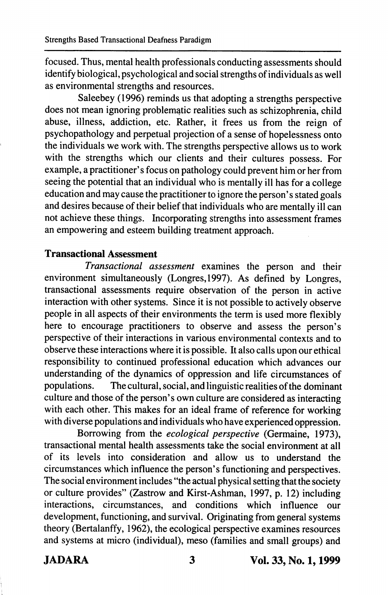focused. Thus, mental health professionals conducting assessments should identify biological, psychological and social strengths of individuals as well as environmental strengths and resources.

Saleebey (1996) reminds us that adopting a strengths perspective does not mean ignoring problematic realities such as schizophrenia, child abuse, illness, addiction, etc. Rather, it frees us from the reign of psychopathology and perpetual projection of a sense of hopelessness onto the individuals we work with. The strengths perspective allows us to work with the strengths which our clients and their cultures possess. For example, a practitioner's focus on pathology could prevent him or her from seeing the potential that an individual who is mentally ill has for a college education and may cause the practitioner to ignore the person's stated goals and desires because of their belief that individuals who are mentally ill can not achieve these things. Incorporating strengths into assessment frames an empowering and esteem building treatment approach.

#### Transactional Assessment

Transactional assessment examines the person and their environment simultaneously (Longres,1997). As defined by Longres, transactional assessments require observation of the person in active interaction with other systems. Since it is not possible to actively observe people in all aspects of their environments the term is used more flexibly here to encourage practitioners to observe and assess the person's perspective of their interactions in various environmental contexts and to observe these interactions where it is possible. It also calls upon our ethical responsibility to continued professional education which advances our understanding of the dynamics of oppression and life circumstances of populations. The cultural, social, and linguistic realities of the dominant culture and those of the person's own culture are considered as interacting with each other. This makes for an ideal frame of reference for working with diverse populations and individuals who have experienced oppression.

Borrowing from the ecological perspective (Germaine, 1973), transactional mental health assessments take the social environment at all of its levels into consideration and allow us to understand the circumstances which influence the person's functioning and perspectives. The social environment includes "the actual physical setting that the society or culture provides" (Zastrow and Kirst-Ashman, 1997, p. 12) including interactions, circumstances, and conditions which influence our development, functioning, and survival. Originating from general systems theory (Bertalanffy, 1962), the ecological perspective examines resources and systems at micro (individual), meso (families and small groups) and

JADARA 3 Vol. 33, No. 1,1999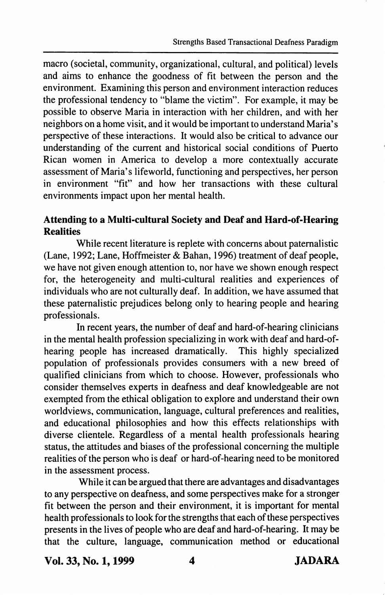macro (societal, community, organizational, cultural, and political) levels and aims to enhance the goodness of fit between the person and the environment. Examining this person and environment interaction reduces the professional tendency to "blame the victim". For example, it may be possible to observe Maria in interaction with her children, and with her neighbors on a home visit, and it would be important to understand Maria's perspective of these interactions. It would also be critical to advance our understanding of the current and historical social conditions of Puerto Rican women in America to develop a more contextually accurate assessment of Maria's lifeworld, functioning and perspectives, her person in environment "fit" and how her transactions with these cultural environments impact upon her mental health.

### Attending to a Multi-cultural Society and Deaf and Hard-of-Hearing **Realities**

While recent literature is replete with concerns about paternalistic (Lane, 1992; Lane, Hoffmeister & Bahan, 1996) treatment of deaf people, we have not given enough attention to, nor have we shown enough respect for, the heterogeneity and multi-cultural realities and experiences of individuals who are not culturally deaf. In addition, we have assumed that these paternalistic prejudices belong only to hearing people and hearing professionals.

In recent years, the number of deaf and hard-of-hearing clinicians in the mental health profession specializing in work with deaf and hard-ofhearing people has increased dramatically. This highly specialized population of professionals provides consumers with a new breed of qualified clinicians from which to choose. However, professionals who consider themselves experts in deafness and deaf knowledgeable are not exempted from the ethical obligation to explore and understand their own worldviews, communication, language, cultural preferences and realities, and educational philosophies and how this effects relationships with diverse clientele. Regardless of a mental health professionals hearing status, the attitudes and biases of the professional concerning the multiple realities of the person who is deaf or hard-of-hearing need to be monitored in the assessment process.

While it can be argued that there are advantages and disadvantages to any perspective on deafness, and some perspectives make for a stronger fit between the person and their environment, it is important for mental health professionals to look for the strengths that each of these perspectives presents in the lives of people who are deaf and hard-of-hearing. It may be that the culture, language, communication method or educational

Vol. 33, No. 1,1999 4 JADARA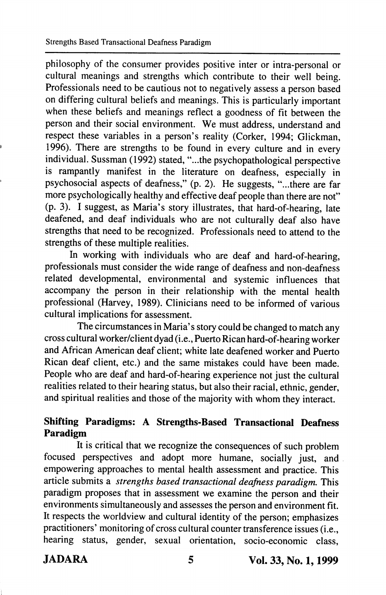philosophy of the consumer provides positive inter or intra-personal or cultural meanings and strengths which contribute to their well being. Professionals need to be cautious not to negatively assess a person based on differing cultural beliefs and meanings. This is particularly important when these beliefs and meanings reflect a goodness of fit between the person and their social environment. We must address, understand and respect these variables in a person's reality (Corker, 1994; Glickman, 1996). There are strengths to be found in every culture and in every individual. Sussman (1992) stated, "...the psychopathological perspective is rampantly manifest in the literature on deafness, especially in psychosocial aspects of deafness," (p. 2). He suggests, "...there are far more psychologically healthy and effective deaf people than there are not" (p. 3). I suggest, as Maria's story illustrates, that hard-of-hearing, late deafened, and deaf individuals who are not culturally deaf also have strengths that need to be recognized. Professionals need to attend to the strengths of these multiple realities.

In working with individuals who are deaf and hard-of-hearing, professionals must consider the wide range of deafness and non-deafness related developmental, environmental and systemic influences that accompany the person in their relationship with the mental health professional (Harvey, 1989). Clinicians need to be informed of various cultural implications for assessment.

The circumstances in Maria's story could be changed to match any cross cultural worker/client dyad (i.e., Puerto Rican hard-of-hearing worker and African American deaf client; white late deafened worker and Puerto Rican deaf client, etc.) and the same mistakes could have been made. People who are deaf and hard-of-hearing experience not just the cultural realities related to their hearing status, but also their racial, ethnic, gender, and spiritual realities and those of the majority with whom they interact.

### Shifting Paradigms: A Strengths-Based Transactional Deafness Paradigm

It is critical that we recognize the consequences of such problem focused perspectives and adopt more humane, socially just, and empowering approaches to mental health assessment and practice. This article submits a strengths based transactional deafness paradigm. This paradigm proposes that in assessment we examine the person and their environments simultaneously and assesses the person and environment fit. It respects the worldview and cultural identity of the person; emphasizes practitioners' monitoring of cross cultural counter transference issues (i.e., hearing status, gender, sexual orientation, socio-economic class,

JADARA 5 Vol. 33, No. 1,1999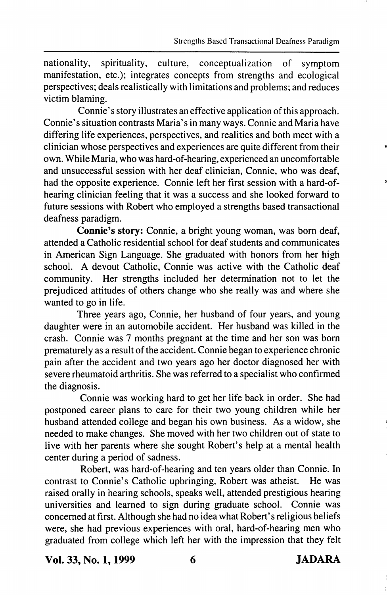nationality, spirituality, culture, conceptualization of symptom manifestation, etc.); integrates concepts from strengths and ecological perspectives; deals realistically with limitations and problems; and reduces victim blaming.

Connie's story illustrates an effective application of this approach. Connie's situation contrasts Maria's in many ways. Connie and Maria have differing life experiences, perspectives, and realities and both meet with a clinician whose perspectives and experiences are quite different from their own. While Maria, who was hard-of-hearing, experienced an uncomfortable and unsuccessful session with her deaf clinician, Connie, who was deaf, had the opposite experience. Connie left her first session with a hard-ofhearing clinician feeling that it was a success and she looked forward to future sessions with Robert who employed a strengths based transactional deafness paradigm.

Connie's story: Connie, a bright young woman, was born deaf, attended a Catholic residential school for deaf students and communicates in American Sign Language. She graduated with honors from her high school. A devout Catholic, Connie was active with the Catholic deaf community. Her strengths included her determination not to let the prejudiced attitudes of others change who she really was and where she wanted to go in life.

Three years ago, Connie, her husband of four years, and young daughter were in an automobile accident. Her husband was killed in the crash. Connie was 7 months pregnant at the time and her son was bom prematurely as a result of the accident. Connie began to experience chronic pain after the accident and two years ago her doctor diagnosed her with severe rheumatoid arthritis. She was referred to a specialist who confirmed the diagnosis.

Connie was working hard to get her life back in order. She had postponed career plans to care for their two young children while her husband attended college and began his own business. As a widow, she needed to make changes. She moved with her two children out of state to live with her parents where she sought Robert's help at a mental health center during a period of sadness.

Robert, was hard-of-hearing and ten years older than Connie. In contrast to Connie's Catholic upbringing, Robert was atheist. He was raised orally in hearing schools, speaks well, attended prestigious hearing universities and learned to sign during graduate school. Connie was concerned at first. Although she had no idea what Robert's religious beliefs were, she had previous experiences with oral, hard-of-hearing men who graduated from college which left her with the impression that they felt

Vol. 33, No. 1,1999 6 JADARA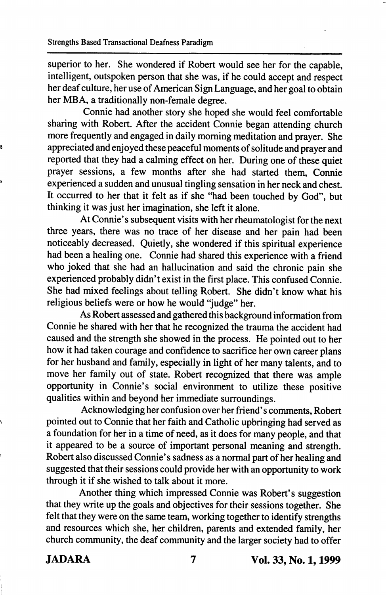superior to her. She wondered if Robert would see her for the capable, intelligent, outspoken person that she was, if he could accept and respect her deaf culture, her use of American Sign Language, and her goal to obtain her MBA, a traditionally non-female degree.

Connie had another story she hoped she would feel comfortable sharing with Robert. After the accident Connie began attending church more frequently and engaged in daily morning meditation and prayer. She appreciated and enjoyed these peaceful moments of solitude and prayer and reported that they had a calming effect on her. During one of these quiet prayer sessions, a few months after she had started them, Connie experienced a sudden and unusual tingling sensation in her neck and chest. It occurred to her that it felt as if she "had been touched by God", but thinking it was just her imagination, she left it alone.

At Connie's subsequent visits with her rheumatologist for the next three years, there was no trace of her disease and her pain had been noticeably decreased. Quietly, she wondered if this spiritual experience had been a healing one. Connie had shared this experience with a friend who joked that she had an hallucination and said the chronic pain she experienced probably didn't exist in the first place. This confused Connie. She had mixed feelings about telling Robert. She didn't know what his religious beliefs were or how he would "judge" her.

As Robert assessed and gathered this background information from Connie he shared with her that he recognized the trauma the accident had caused and the strength she showed in the process. He pointed out to her how it had taken courage and confidence to sacrifice her own career plans for her husband and family, especially in light of her many talents, and to move her family out of state. Robert recognized that there was ample opportunity in Connie's social environment to utilize these positive qualities within and beyond her immediate surroundings.

Acknowledging her confusion over her friend's comments, Robert pointed out to Connie that her faith and Catholic upbringing had served as a foundation for her in a time of need, as it does for many people, and that it appeared to be a source of important personal meaning and strength. Robert also discussed Connie's sadness as a normal part of her healing and suggested that their sessions could provide her with an opportunity to work through it if she wished to talk about it more.

Another thing which impressed Connie was Robert's suggestion that they write up the goals and objectives for their sessions together. She felt that they were on the same team, working together to identify strengths and resources which she, her children, parents and extended f^amily, her church community, the deaf community and the larger society had to offer

JADARA 7 Vol. 33, No. 1,1999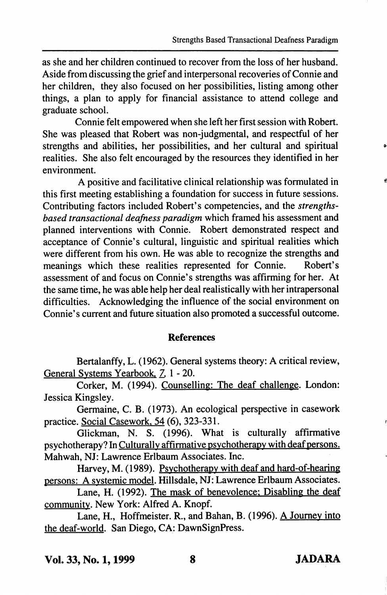as she and her children continued to recover from the loss of her husband. Aside from discussing the grief and interpersonal recoveries of Connie and her children, they also focused on her possibilities, listing among other things, a plan to apply for financial assistance to attend college and graduate school.

Connie felt empowered when she left her first session with Robert. She was pleased that Robert was non-judgmental, and respectful of her strengths and abilities, her possibilities, and her cultural and spiritual realities. She also felt encouraged by the resources they identified in her environment.

A positive and facilitative clinical relationship was formulated in this first meeting establishing a foundation for success in future sessions. Contributing factors included Robert's competencies, and the strengthsbased transactional deafness paradigm which framed his assessment and planned interventions with Connie. Robert demonstrated respect and acceptance of Connie's cultural, linguistic and spiritual realities which were different from his own. He was able to recognize the strengths and meanings which these realities represented for Connie. Robert's assessment of and focus on Connie's strengths was affirming for her. At the same time, he was able help her deal realistically with her intrapersonal difficulties. Acknowledging the influence of the social environment on Connie's current and future situation also promoted a successful outcome.

#### References

Bertalanffy, L. (1962). General systems theory: A critical review. General Systems Yearbook, 7, 1 - 20.

Corker, M. (1994). Counselling: The deaf challenge. London: Jessica Kingsley.

Germaine, C. B. (1973). An ecological perspective in casework practice. Social Casework. 54 (6), 323-331.

Glickman, N. S. (1996). What is culturally affirmative psychotherapy? In Culturallv affirmative psvchotherapv with deaf persons. Mahwah, NJ: Lawrence Erlbaum Associates. Inc.

Harvey, M. (1989). Psvchotherapv with deaf and hard-of-hearing persons: A svstemic model. Hillsdale, NJ: Lawrence Erlbaum Associates.

Lane, H. (1992). The mask of benevolence: Disabling the deaf community. New York: Alfred A. Knopf.

Lane, H., Hoffmeister. R., and Bahan, B. (1996). A Journey into the deaf-world. San Diego, CA: DawnSignPress.